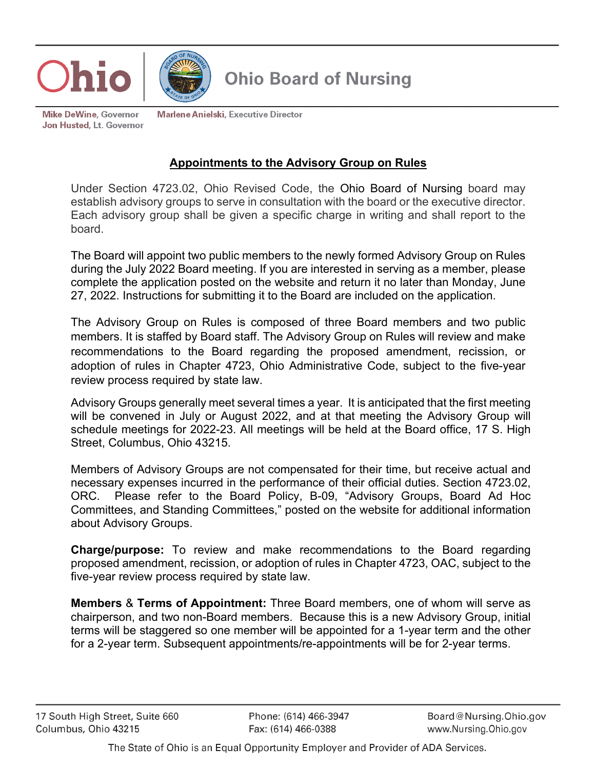



## **Ohio Board of Nursing**

**Mike DeWine, Governor** Jon Husted, Lt. Governor **Marlene Anielski, Executive Director** 

## **Appointments to the Advisory Group on Rules**

Under Section 4723.02, Ohio Revised Code, the Ohio Board of Nursing board may establish advisory groups to serve in consultation with the board or the executive director. Each advisory group shall be given a specific charge in writing and shall report to the board.

The Board will appoint two public members to the newly formed Advisory Group on Rules during the July 2022 Board meeting. If you are interested in serving as a member, please complete the application posted on the website and return it no later than Monday, June 27, 2022. Instructions for submitting it to the Board are included on the application.

The Advisory Group on Rules is composed of three Board members and two public members. It is staffed by Board staff. The Advisory Group on Rules will review and make recommendations to the Board regarding the proposed amendment, recission, or adoption of rules in Chapter 4723, Ohio Administrative Code, subject to the five-year review process required by state law.

Advisory Groups generally meet several times a year. It is anticipated that the first meeting will be convened in July or August 2022, and at that meeting the Advisory Group will schedule meetings for 2022-23. All meetings will be held at the Board office, 17 S. High Street, Columbus, Ohio 43215.

Members of Advisory Groups are not compensated for their time, but receive actual and necessary expenses incurred in the performance of their official duties. Section 4723.02, ORC. Please refer to the Board Policy, B-09, "Advisory Groups, Board Ad Hoc Committees, and Standing Committees," posted on the website for additional information about Advisory Groups.

**Charge/purpose:** To review and make recommendations to the Board regarding proposed amendment, recission, or adoption of rules in Chapter 4723, OAC, subject to the five-year review process required by state law.

**Members** & **Terms of Appointment:** Three Board members, one of whom will serve as chairperson, and two non-Board members. Because this is a new Advisory Group, initial terms will be staggered so one member will be appointed for a 1-year term and the other for a 2-year term. Subsequent appointments/re-appointments will be for 2-year terms.